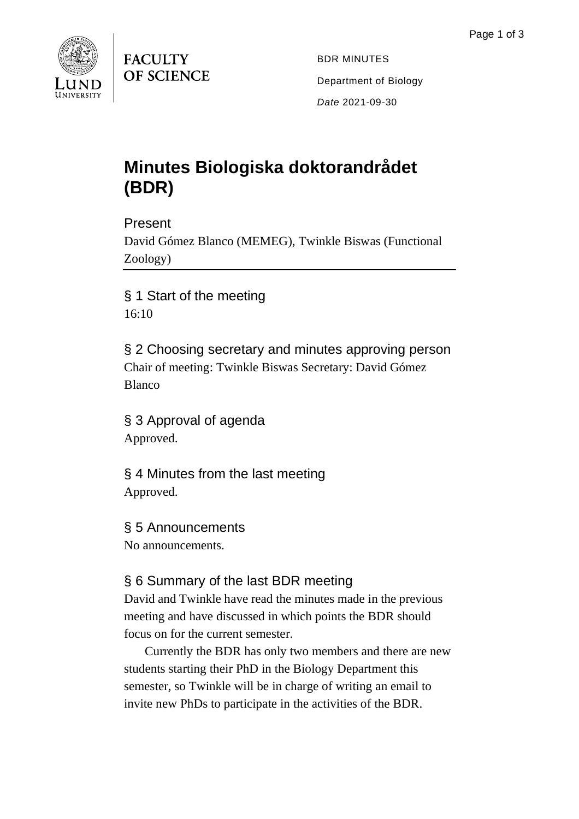

**FACULTY** OF SCIENCE

BDR MINUTES Department of Biology *Date* 2021-09-30

# **Minutes Biologiska doktorandrådet (BDR)**

#### Present

David Gómez Blanco (MEMEG), Twinkle Biswas (Functional Zoology)

§ 1 Start of the meeting 16:10

§ 2 Choosing secretary and minutes approving person Chair of meeting: Twinkle Biswas Secretary: David Gómez Blanco

§ 3 Approval of agenda Approved.

§ 4 Minutes from the last meeting Approved.

§ 5 Announcements No announcements.

## § 6 Summary of the last BDR meeting

David and Twinkle have read the minutes made in the previous meeting and have discussed in which points the BDR should focus on for the current semester.

Currently the BDR has only two members and there are new students starting their PhD in the Biology Department this semester, so Twinkle will be in charge of writing an email to invite new PhDs to participate in the activities of the BDR.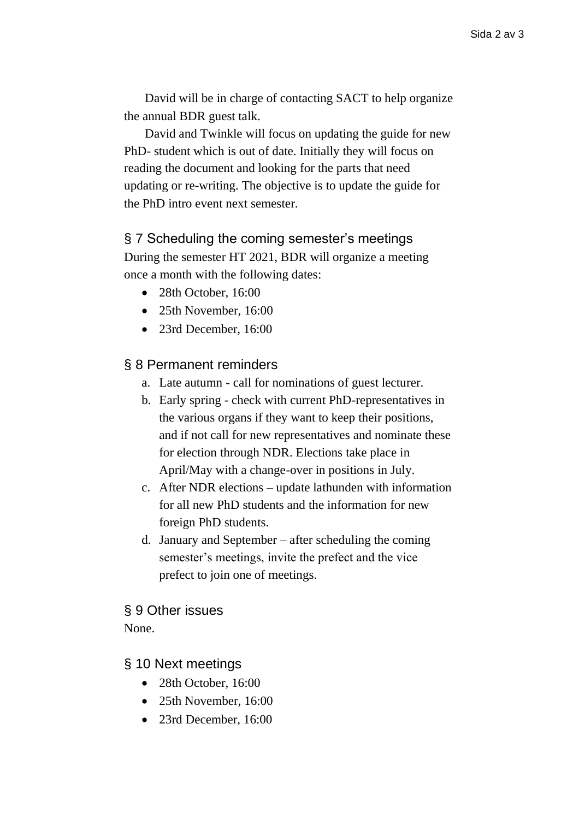David will be in charge of contacting SACT to help organize the annual BDR guest talk.

David and Twinkle will focus on updating the guide for new PhD- student which is out of date. Initially they will focus on reading the document and looking for the parts that need updating or re-writing. The objective is to update the guide for the PhD intro event next semester.

#### § 7 Scheduling the coming semester's meetings

During the semester HT 2021, BDR will organize a meeting once a month with the following dates:

- 28th October, 16:00
- 25th November, 16:00
- 23rd December, 16:00

### § 8 Permanent reminders

- a. Late autumn call for nominations of guest lecturer.
- b. Early spring check with current PhD-representatives in the various organs if they want to keep their positions, and if not call for new representatives and nominate these for election through NDR. Elections take place in April/May with a change-over in positions in July.
- c. After NDR elections update lathunden with information for all new PhD students and the information for new foreign PhD students.
- d. January and September after scheduling the coming semester's meetings, invite the prefect and the vice prefect to join one of meetings.

#### § 9 Other issues None.

## § 10 Next meetings

- 28th October, 16:00
- 25th November, 16:00
- 23rd December, 16:00